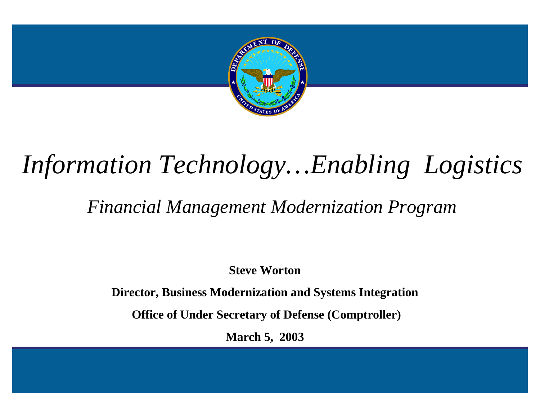

# *Information Technology…Enabling Logistics*

## *Financial Management Modernization Program*

**Steve Worton**

**Director, Business Modernization and Systems Integration**

 **Office of Under Secretary of Defense (Comptroller)**

**March 5, 2003**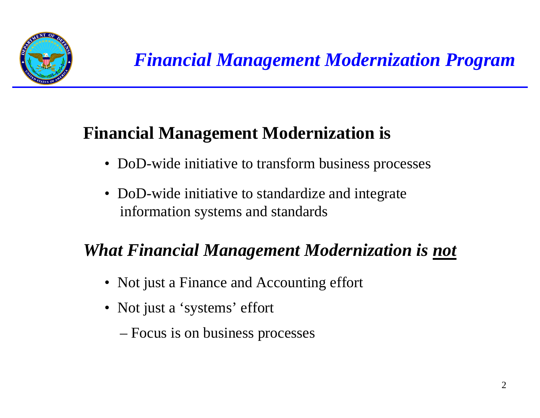

## **Financial Management Modernization is**

- DoD-wide initiative to transform business processes
- DoD-wide initiative to standardize and integrate information systems and standards

# *What Financial Management Modernization is not*

- Not just a Finance and Accounting effort
- Not just a 'systems' effort
	- Focus is on business processes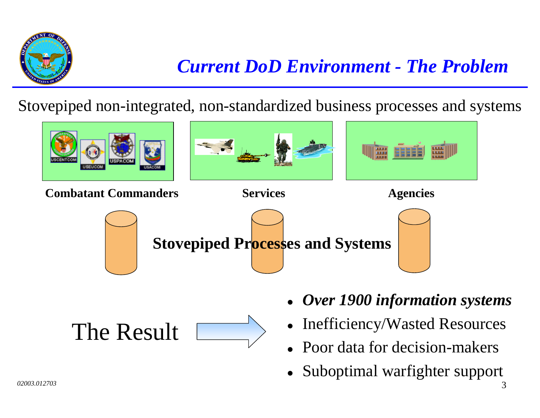

## *Current DoD Environment - The Problem*

tovepiped non-integrated, non-standardized business processes and system



Suboptimal warfighter support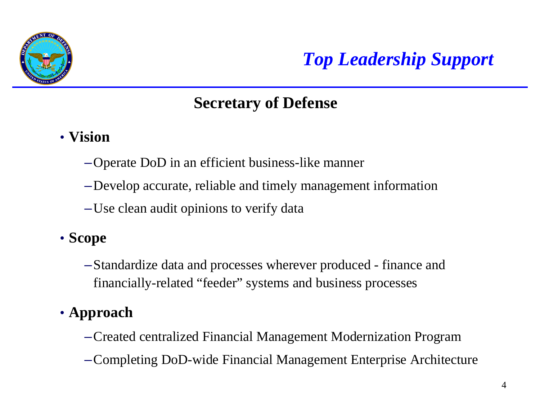

# *Top Leadership Support*

### **Secretary of Defense**

- **Vision**
	- –Operate DoD in an efficient business-like manner
	- –Develop accurate, reliable and timely management information
	- –Use clean audit opinions to verify data
- **Scope**
	- –Standardize data and processes wherever produced finance and financially-related "feeder" systems and business processes

### • **Approach**

- –Created centralized Financial Management Modernization Program
- –Completing DoD-wide Financial Management Enterprise Architecture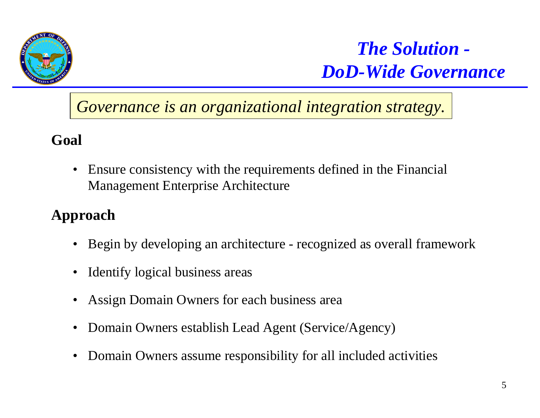

*The Solution - DoD-Wide Governance*

*Governance is an organizational integration strategy.*

### **Goal**

• Ensure consistency with the requirements defined in the Financial Management Enterprise Architecture

### **Approach**

- Begin by developing an architecture recognized as overall framework
- Identify logical business areas
- Assign Domain Owners for each business area
- Domain Owners establish Lead Agent (Service/Agency)
- Domain Owners assume responsibility for all included activities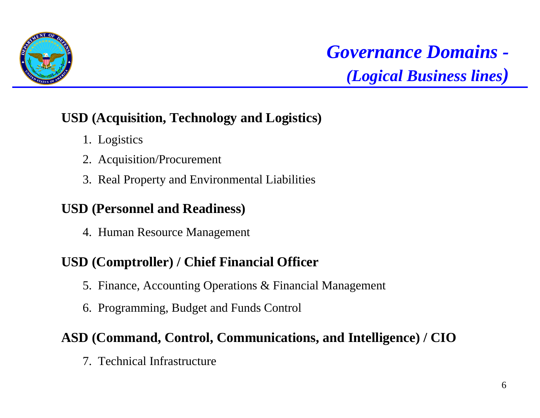

# *Governance Domains - (Logical Business lines)*

#### **USD (Acquisition, Technology and Logistics)**

- 1. Logistics
- 2. Acquisition/Procurement
- 3. Real Property and Environmental Liabilities

#### **USD (Personnel and Readiness)**

4. Human Resource Management

#### **USD (Comptroller) / Chief Financial Officer**

- 5. Finance, Accounting Operations & Financial Management
- 6. Programming, Budget and Funds Control

#### **ASD (Command, Control, Communications, and Intelligence) / CIO**

7. Technical Infrastructure